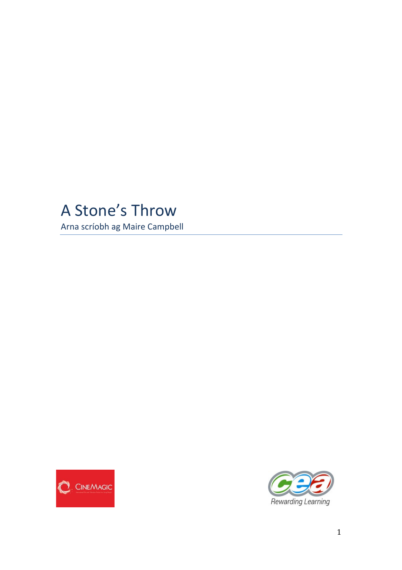# A Stone's Throw

Arna scríobh ag Maire Campbell



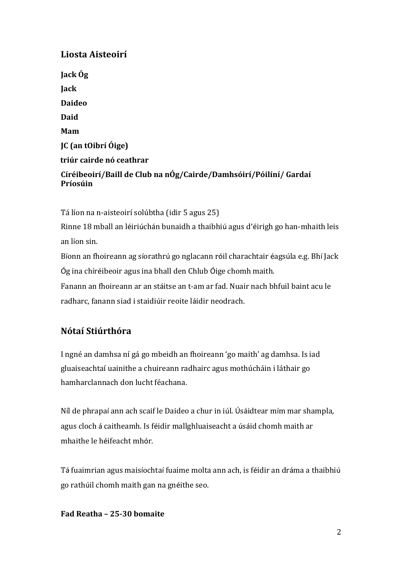# **Liosta Aisteoirí**

**Jack Óg Jack Daideo Daid Mam JC (an tOibrí Óige) triúr cairde nó ceathrar Círéibeoirí/Baill de Club na nÓg/Cairde/Damhsóirí/Póilíní/ Gardaí Príosúin**

Tá líon na n-aisteoirí solúbtha (idir 5 agus 25) Rinne 18 mball an léiriúchán bunaidh a thaibhiú agus d'éirigh go han-mhaith leis an líon sin. Bíonn an fhoireann ag síorathrú go nglacann róil charachtair éagsúla e.g. Bhí Jack Óg ina chíréibeoir agus ina bhall den Chlub Óige chomh maith.

Fanann an fhoireann ar an stáitse an t-am ar fad. Nuair nach bhfuil baint acu le radharc, fanann siad i staidiúir reoite láidir neodrach.

## **Nótaí Stiúrthóra**

I ngné an damhsa ní gá go mbeidh an fhoireann 'go maith' ag damhsa. Is iad gluaiseachtaí uainithe a chuireann radhairc agus mothúcháin i láthair go hamharclannach don lucht féachana.

Níl de phrapaí ann ach scaif le Daideo a chur in iúl. Úsáidtear mím mar shampla, agus cloch á caitheamh. Is féidir mallghluaiseacht a úsáid chomh maith ar mhaithe le héifeacht mhór.

Tá fuaimrian agus maisíochtaí fuaime molta ann ach, is féidir an dráma a thaibhiú go rathúil chomh maith gan na gnéithe seo.

#### **Fad Reatha – 25-30 bomaite**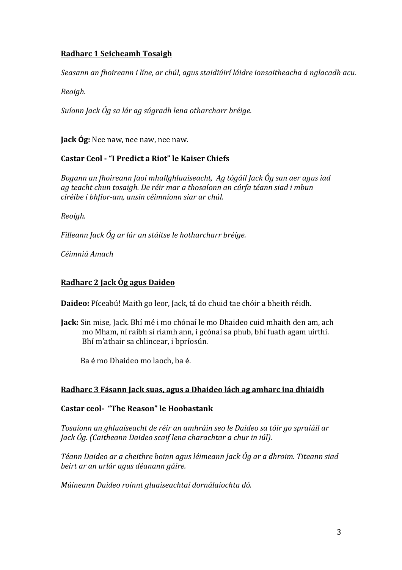## **Radharc 1 Seicheamh Tosaigh**

Seasann an fhoireann i líne, ar chúl, agus staidiúirí láidre ionsaitheacha á nglacadh acu.

*Reoigh.*

*Suíonn Jack Óg sa lár ag súgradh lena otharcharr bréige.*

**Jack Óg:** Nee naw, nee naw, nee naw.

## **Castar Ceol - "I Predict a Riot" le Kaiser Chiefs**

*Bogann an fhoireann faoi mhallghluaiseacht, Ag tógáil Jack Óg san aer agus iad ag teacht chun tosaigh. De réir mar a thosaíonn an cúrfa téann siad i mbun círéibe i bhfíor-am, ansin céimníonn siar ar chúl.*

*Reoigh.*

*Filleann Jack Óg ar lár an stáitse le hotharcharr bréige.* 

*Céimniú Amach*

## **Radharc 2 Jack Óg agus Daideo**

Daideo: Píceabú! Maith go leor, Jack, tá do chuid tae chóir a bheith réidh.

**Jack:** Sin mise, Jack. Bhí mé i mo chónaí le mo Dhaideo cuid mhaith den am, ach mo Mham, ní raibh sí riamh ann, i gcónaí sa phub, bhí fuath agam uirthi. Bhí m'athair sa chlincear, i bpríosún.

Ba é mo Dhaideo mo laoch, ba é.

## **Radharc 3 Fásann Jack suas, agus a Dhaideo lách ag amharc ina dhiaidh**

## **Castar ceol- "The Reason" le Hoobastank**

*Tosaíonn an ghluaiseacht de réir an amhráin seo le Daideo sa tóir go spraíúil ar Jack Óg. (Caitheann Daideo scaif lena charachtar a chur in iúl).*

Téann Daideo ar a cheithre boinn agus léimeann Jack Óg ar a dhroim. Titeann siad *beirt ar an urlár agus déanann gáire.*

*Múineann Daideo roinnt gluaiseachtaí dornálaíochta dó.*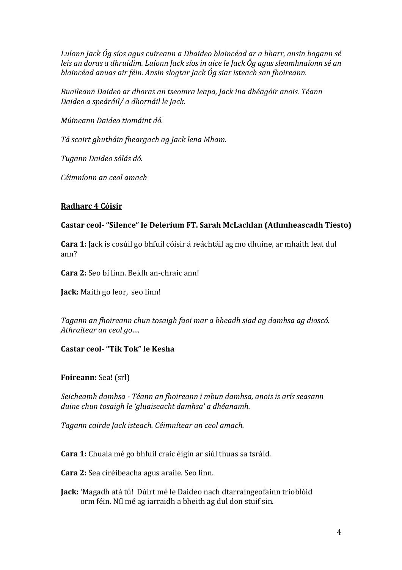Luíonn Jack Óg síos agus cuireann a Dhaideo blaincéad ar a bharr, ansin bogann sé *leis an doras a dhruidim. Luíonn Jack síos in aice le Jack Óg agus sleamhnaíonn sé an* blaincéad anuas air féin. Ansin slogtar Jack Óg siar isteach san fhoireann.

*Buaileann Daideo ar dhoras an tseomra leapa, Jack ina dhéagóir anois. Téann Daideo a speáráil/ a dhornáil le Jack.*

*Múineann Daideo tiomáint dó.*

*Tá scairt ghutháin fheargach ag Jack lena Mham.* 

*Tugann Daideo sólás dó.*

*Céimníonn an ceol amach*

#### **Radharc 4 Cóisir**

#### **Castar ceol-** "Silence" le Delerium FT. Sarah McLachlan (Athmheascadh Tiesto)

**Cara 1:** Jack is cosúil go bhfuil cóisir á reáchtáil ag mo dhuine, ar mhaith leat dul ann?

**Cara 2:** Seo bí linn. Beidh an-chraic ann!

**Jack:** Maith go leor, seo linn!

Tagann an fhoireann chun tosaigh faoi mar a bheadh siad ag damhsa ag dioscó. *Athraítear an ceol go....* 

## **Castar ceol- "Tik Tok" le Kesha**

**Foireann:** Sea! (srl)

*Seicheamh damhsa - Téann an fhoireann i mbun damhsa, anois is arís seasann*  duine chun tosaigh le 'gluaiseacht damhsa' a dhéanamh.

*Tagann cairde Jack isteach. Céimnítear an ceol amach.*

**Cara 1:** Chuala mé go bhfuil craic éigin ar siúl thuas sa tsráid.

**Cara 2:** Sea círéibeacha agus araile. Seo linn.

Jack: 'Magadh atá tú! Dúirt mé le Daideo nach dtarraingeofainn trioblóid orm féin. Níl mé ag iarraidh a bheith ag dul don stuif sin.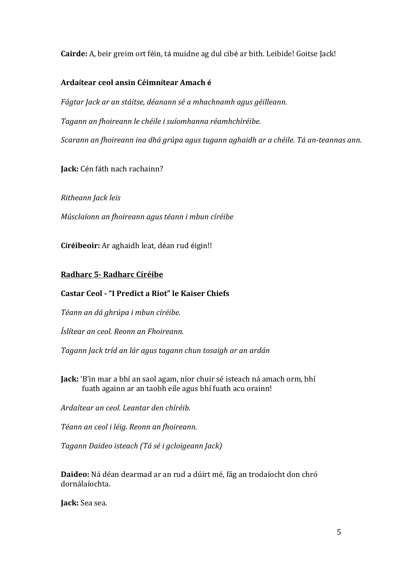**Cairde:** A, beir greim ort féin, tá muidne ag dul cibé ar bith. Leibide! Goitse Jack!

## **Ardaítear ceol ansin Céimnítear Amach é**

Fágtar Jack ar an stáitse, déanann sé a mhachnamh agus géilleann. *Tagann an fhoireann le chéile i suíomhanna réamhchíréibe. Scarann an fhoireann ina dhá grúpa agus tugann aghaidh ar a chéile. Tá an-teannas ann.* 

**Jack:** Cén fáth nach rachainn?

*Ritheann Jack leis*

*Músclaíonn an fhoireann agus téann i mbun círéibe*

**Círéibeoir:** Ar aghaidh leat, déan rud éigin!!

## **Radharc 5- Radharc Círéibe**

## **Castar Ceol - "I Predict a Riot" le Kaiser Chiefs**

*Téann an dá ghrúpa i mbun círéibe.* 

*Íslítear an ceol. Reonn an Fhoireann.*

*Tagann Jack tríd an lár agus tagann chun tosaigh ar an ardán*

**Jack:** 'B'in mar a bhí an saol agam, níor chuir sé isteach ná amach orm, bhí fuath againn ar an taobh eile agus bhí fuath acu orainn!

*Ardaítear an ceol. Leantar den chíréib.* 

*Téann an ceol i léig. Reonn an fhoireann.*

*Tagann Daideo isteach (Tá sé i gcloigeann Jack)*

**Daideo:** Ná déan dearmad ar an rud a dúirt mé, fág an trodaíocht don chró dornálaíochta.

**Jack:** Sea sea.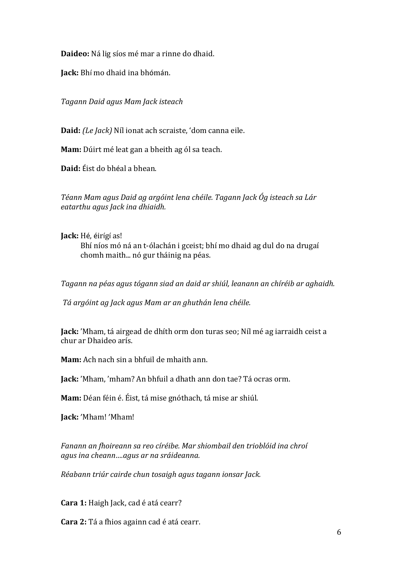**Daideo:** Ná lig síos mé mar a rinne do dhaid.

**Jack:** Bhí mo dhaid ina bhómán.

*Tagann Daid agus Mam Jack isteach*

**Daid:** *(Le Jack)* Níl ionat ach scraiste, 'dom canna eile.

**Mam:** Dúirt mé leat gan a bheith ag ól sa teach.

**Daid:** Éist do bhéal a bhean.

*Téann Mam agus Daid ag argóint lena chéile. Tagann Jack Óg isteach sa Lár eatarthu agus Jack ina dhiaidh.*

**Jack:** Hé, éirígí as! Bhí níos mó ná an t-ólachán i gceist; bhí mo dhaid ag dul do na drugaí chomh maith... nó gur tháinig na péas.

Tagann na péas agus tógann siad an daid ar shiúl, leanann an chíréib ar aghaidh.

*Tá argóint ag Jack agus Mam ar an ghuthán lena chéile.*

**Jack:** 'Mham, tá airgead de dhíth orm don turas seo; Níl mé ag iarraidh ceist a chur ar Dhaideo arís.

**Mam:** Ach nach sin a bhfuil de mhaith ann.

**Jack:** 'Mham, 'mham? An bhfuil a dhath ann don tae? Tá ocras orm.

**Mam:** Déan féin é. Éist, tá mise gnóthach, tá mise ar shiúl.

**Jack:** 'Mham! 'Mham!

Fanann an fhoireann sa reo círéibe. Mar shiombail den trioblóid ina chroí *agus ina cheann….agus ar na sráideanna.*

*Réabann triúr cairde chun tosaigh agus tagann ionsar Jack.*

**Cara 1:** Haigh Jack, cad é atá cearr?

**Cara 2:** Tá a fhios againn cad é atá cearr.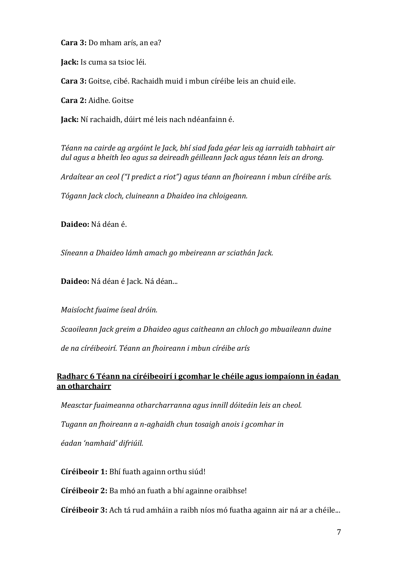**Cara 3:** Do mham arís, an ea?

**Jack:** Is cuma sa tsioc léi.

Cara 3: Goitse, cibé. Rachaidh muid i mbun círéibe leis an chuid eile.

**Cara 2:** Aidhe. Goitse

**Jack:** Ní rachaidh, dúirt mé leis nach ndéanfainn é.

Téann na cairde ag argóint le Jack, bhí siad fada géar leis ag iarraidh tabhairt air dul agus a bheith leo agus sa deireadh géilleann Jack agus téann leis an drong.

*Ardaítear an ceol ("I predict a riot")* agus téann an fhoireann i mbun círéibe arís.

*Tógann Jack cloch, cluineann a Dhaideo ina chloigeann.*

**Daideo:** Ná déan é.

*Síneann a Dhaideo lámh amach go mbeireann ar sciathán Jack.*

Daideo: Ná déan é Jack. Ná déan...

*Maisíocht fuaime íseal dróin.*

*Scaoileann Jack greim a Dhaideo agus caitheann an chloch go mbuaileann duine* 

*de na círéibeoirí. Téann an fhoireann i mbun círéibe arís*

## **Radharc 6 Téann na círéibeoirí i gcomhar le chéile agus iompaíonn in éadan an otharchairr**

*Measctar fuaimeanna otharcharranna agus innill dóiteáin leis an cheol.* 

*Tugann an fhoireann a n-aghaidh chun tosaigh anois i gcomhar in* 

*éadan 'namhaid' difriúil.*

**Círéibeoir 1:** Bhí fuath againn orthu siúd!

**Círéibeoir 2:** Ba mhó an fuath a bhí againne oraibhse!

**Círéibeoir 3:** Ach tá rud amháin a raibh níos mó fuatha againn air ná ar a chéile...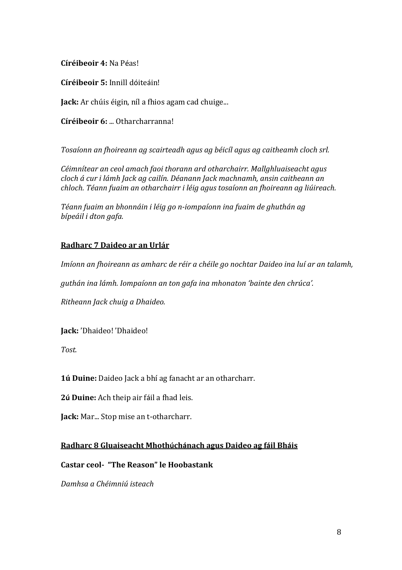**Círéibeoir 4:** Na Péas!

**Círéibeoir 5:** Innill dóiteáin!

**Jack:** Ar chúis éigin, níl a fhios agam cad chuige...

**Círéibeoir 6: ... Otharcharranna!** 

*Tosaíonn an fhoireann ag scairteadh agus ag béicíl agus ag caitheamh cloch srl.* 

*Céimnítear an ceol amach faoi thorann ard otharchairr. Mallghluaiseacht agus cloch á cur i lámh Jack ag cailín. Déanann Jack machnamh, ansin caitheann an chloch. Téann fuaim an otharchairr i léig agus tosaíonn an fhoireann ag liúireach.*

Téann fuaim an bhonnáin i léig go n-iompaíonn ina fuaim de ghuthán ag *bípeáil i dton gafa.*

## **Radharc 7 Daideo ar an Urlár**

*Imíonn an fhoireann as amharc de réir a chéile go nochtar Daideo ina luí ar an talamh,* 

guthán ina lámh. Iompaíonn an ton gafa ina mhonaton 'bainte den chrúca'.

*Ritheann Jack chuig a Dhaideo.*

**Jack:** 'Dhaideo! 'Dhaideo!

*Tost.*

**1ú Duine:** Daideo Jack a bhí ag fanacht ar an otharcharr.

**2ú Duine:** Ach theip air fáil a fhad leis.

**Jack:** Mar... Stop mise an t-otharcharr.

## **Radharc 8 Gluaiseacht Mhothúchánach agus Daideo ag fáil Bháis**

**Castar ceol-** "The Reason" le Hoobastank

*Damhsa a Chéimniú isteach*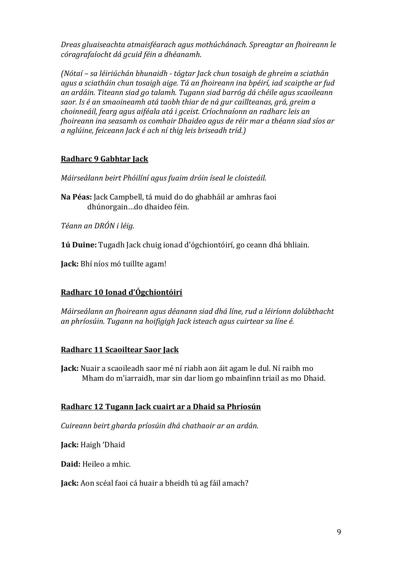*Dreas gluaiseachta atmaisféarach agus mothúchánach. Spreagtar an fhoireann le córagrafaíocht dá gcuid féin a dhéanamh.*

*(Nótaí – sa léiriúchán bhunaidh - tógtar Jack chun tosaigh de ghreim a sciathán*  agus a sciatháin chun tosaigh aige. Tá an fhoireann ina bpéirí, iad scaipthe ar fud *an ardáin. Titeann siad go talamh. Tugann siad barróg dá chéile agus scaoileann saor. Is é an smaoineamh atá taobh thiar de ná gur caillteanas, grá, greim a choinneáil, fearg agus aiféala atá i gceist. Críochnaíonn an radharc leis an fhoireann ina seasamh os comhair Dhaideo agus de réir mar a théann siad síos ar a nglúine, feiceann Jack é ach ní thig leis briseadh tríd.)*

## **Radharc 9 Gabhtar Jack**

*Máirseálann beirt Phóilíní agus fuaim dróin íseal le cloisteáil.*

**Na Péas:** Jack Campbell, tá muid do do ghabháil ar amhras faoi dhúnorgain…do dhaideo féin.

*Téann an DRÓN i léig.*

**1ú Duine:** Tugadh Jack chuig ionad d'ógchiontóirí, go ceann dhá bhliain.

**Jack:** Bhí níos mó tuillte agam!

## **Radharc 10 Ionad d'Ógchiontóirí**

*Máirseálann an fhoireann agus déanann siad dhá líne, rud a léiríonn dolúbthacht* an phríosúin. Tugann na hoifigigh Jack isteach agus cuirtear sa líne é.

## **Radharc 11 Scaoiltear Saor Jack**

**Jack:** Nuair a scaoileadh saor mé ní riabh aon áit agam le dul. Ní raibh mo Mham do m'iarraidh, mar sin dar liom go mbainfinn triail as mo Dhaid.

#### **Radharc 12 Tugann Jack cuairt ar a Dhaid sa Phríosún**

*Cuireann beirt gharda príosúin dhá chathaoir ar an ardán.*

Jack: Haigh 'Dhaid

**Daid:** Heileo a mhic.

**Jack:** Aon scéal faoi cá huair a bheidh tú ag fáil amach?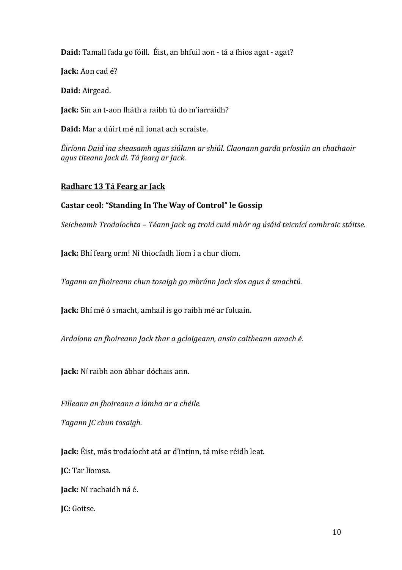**Daid:** Tamall fada go fóill. Éist, an bhfuil aon - tá a fhios agat - agat?

**Jack:** Aon cad é?

**Daid:** Airgead.

**Jack:** Sin an t-aon fháth a raibh tú do m'iarraidh?

**Daid:** Mar a dúirt mé níl ionat ach scraiste.

*Éiríonn Daid ina sheasamh agus siúlann ar shiúl. Claonann garda príosúin an chathaoir agus titeann Jack di. Tá fearg ar Jack.*

## **Radharc 13 Tá Fearg ar Jack**

## Castar ceol: "Standing In The Way of Control" le Gossip

*Seicheamh Trodaíochta – Téann Jack ag troid cuid mhór ag úsáid teicnící comhraic stáitse.*

**Jack:** Bhí fearg orm! Ní thiocfadh liom í a chur díom.

*Tagann an fhoireann chun tosaigh go mbrúnn Jack síos agus á smachtú.*

**Jack:** Bhí mé ó smacht, amhail is go raibh mé ar foluain.

*Ardaíonn an fhoireann Jack thar a gcloigeann, ansin caitheann amach é.* 

**Jack:** Ní raibh aon ábhar dóchais ann.

*Filleann an fhoireann a lámha ar a chéile.*

*Tagann JC chun tosaigh.*

**Jack:** Éist, más trodaíocht atá ar d'intinn, tá mise réidh leat.

**IC:** Tar liomsa.

**Jack:** Ní rachaidh ná é.

**JC:** Goitse.